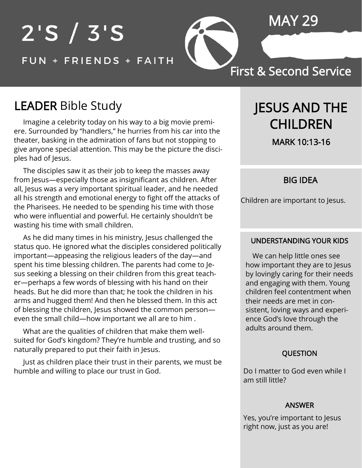# $2'S / 3'S$ FUN + FRIENDS + FAITH

MAY 29

### First & Second Service

## LEADER Bible Study

 Imagine a celebrity today on his way to a big movie premiere. Surrounded by "handlers," he hurries from his car into the theater, basking in the admiration of fans but not stopping to give anyone special attention. This may be the picture the disciples had of Jesus.

 The disciples saw it as their job to keep the masses away from Jesus—especially those as insignificant as children. After all, Jesus was a very important spiritual leader, and he needed all his strength and emotional energy to fight off the attacks of the Pharisees. He needed to be spending his time with those who were influential and powerful. He certainly shouldn't be wasting his time with small children.

 As he did many times in his ministry, Jesus challenged the status quo. He ignored what the disciples considered politically important—appeasing the religious leaders of the day—and spent his time blessing children. The parents had come to Jesus seeking a blessing on their children from this great teacher—perhaps a few words of blessing with his hand on their heads. But he did more than that; he took the children in his arms and hugged them! And then he blessed them. In this act of blessing the children, Jesus showed the common person even the small child—how important we all are to him .

 What are the qualities of children that make them wellsuited for God's kingdom? They're humble and trusting, and so naturally prepared to put their faith in Jesus.

 Just as children place their trust in their parents, we must be humble and willing to place our trust in God.

## JESUS AND THE CHILDREN

MARK 10:13-16

#### BIG IDEA

Children are important to Jesus.

#### UNDERSTANDING YOUR KIDS

 We can help little ones see how important they are to Jesus by lovingly caring for their needs and engaging with them. Young children feel contentment when their needs are met in consistent, loving ways and experience God's love through the adults around them.

#### QUESTION

Do I matter to God even while I am still little?

#### ANSWER

Yes, you're important to Jesus right now, just as you are!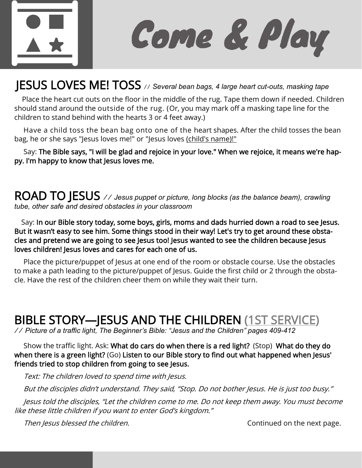

Come & Play

## JESUS LOVES ME! TOSS */ / Several bean bags, 4 large heart cut-outs, masking tape*

 Place the heart cut outs on the floor in the middle of the rug. Tape them down if needed. Children should stand around the outside of the rug. (Or, you may mark off a masking tape line for the children to stand behind with the hearts 3 or 4 feet away.)

 Have a child toss the bean bag onto one of the heart shapes. After the child tosses the bean bag, he or she says "Jesus loves me!" or "Jesus loves (child's name)!"

 Say: The Bible says, "I will be glad and rejoice in your love." When we rejoice, it means we're happy. I'm happy to know that Jesus loves me.

ROAD TO JESUS // Jesus puppet or picture, long blocks (as the balance beam), crawling *tube, other safe and desired obstacles in your classroom*

 Say: In our Bible story today, some boys, girls, moms and dads hurried down a road to see Jesus. But it wasn't easy to see him. Some things stood in their way! Let's try to get around these obstacles and pretend we are going to see Jesus too! Jesus wanted to see the children because Jesus loves children! Jesus loves and cares for each one of us.

 Place the picture/puppet of Jesus at one end of the room or obstacle course. Use the obstacles to make a path leading to the picture/puppet of Jesus. Guide the first child or 2 through the obstacle. Have the rest of the children cheer them on while they wait their turn.

## BIBLE STORY—JESUS AND THE CHILDREN (1ST SERVICE)

/ / *Picture of a traffic light, The Beginner's Bible: "Jesus and the Children" pages 409-412* 

 Show the traffic light. Ask: What do cars do when there is a red light? (Stop) What do they do when there is a green light? (Go) Listen to our Bible story to find out what happened when Jesus' friends tried to stop children from going to see Jesus.

Text: The children loved to spend time with Jesus.

But the disciples didn't understand. They said, "Stop. Do not bother Jesus. He is just too busy."

 Jesus told the disciples, "Let the children come to me. Do not keep them away. You must become like these little children if you want to enter God's kingdom."

Then Jesus blessed the children. Then Jesus blessed the children.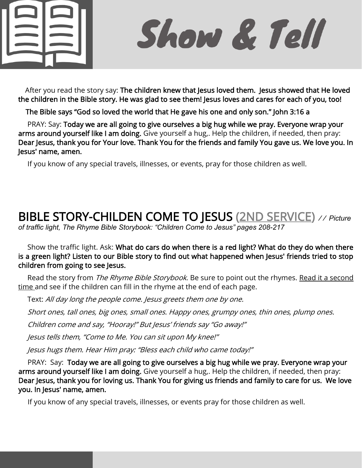

Show & Tell

After you read the story say: The children knew that Jesus loved them. Jesus showed that He loved the children in the Bible story. He was glad to see them! Jesus loves and cares for each of you, too!

The Bible says "God so loved the world that He gave his one and only son." John 3:16 a

 PRAY: Say: Today we are all going to give ourselves a big hug while we pray. Everyone wrap your arms around yourself like I am doing. Give yourself a hug,. Help the children, if needed, then pray: Dear Jesus, thank you for Your love. Thank You for the friends and family You gave us. We love you. In Jesus' name, amen.

If you know of any special travels, illnesses, or events, pray for those children as well.

## BIBLE STORY-CHILDEN COME TO JESUS (2ND SERVICE) / / *Picture*

*of traffic light, The Rhyme Bible Storybook: "Children Come to Jesus" pages 208-217*

 Show the traffic light. Ask: What do cars do when there is a red light? What do they do when there is a green light? Listen to our Bible story to find out what happened when Jesus' friends tried to stop children from going to see Jesus.

Read the story from *The Rhyme Bible Storybook*. Be sure to point out the rhymes. Read it a second time and see if the children can fill in the rhyme at the end of each page.

Text: All day long the people come. Jesus greets them one by one.

Short ones, tall ones, big ones, small ones. Happy ones, grumpy ones, thin ones, plump ones.

Children come and say, "Hooray!" But Jesus' friends say "Go away!"

Jesus tells them, "Come to Me. You can sit upon My knee!"

Jesus hugs them. Hear Him pray: "Bless each child who came today!"

 PRAY: Say: Today we are all going to give ourselves a big hug while we pray. Everyone wrap your arms around yourself like I am doing. Give yourself a hug,. Help the children, if needed, then pray: Dear Jesus, thank you for loving us. Thank You for giving us friends and family to care for us. We love you. In Jesus' name, amen.

If you know of any special travels, illnesses, or events pray for those children as well.